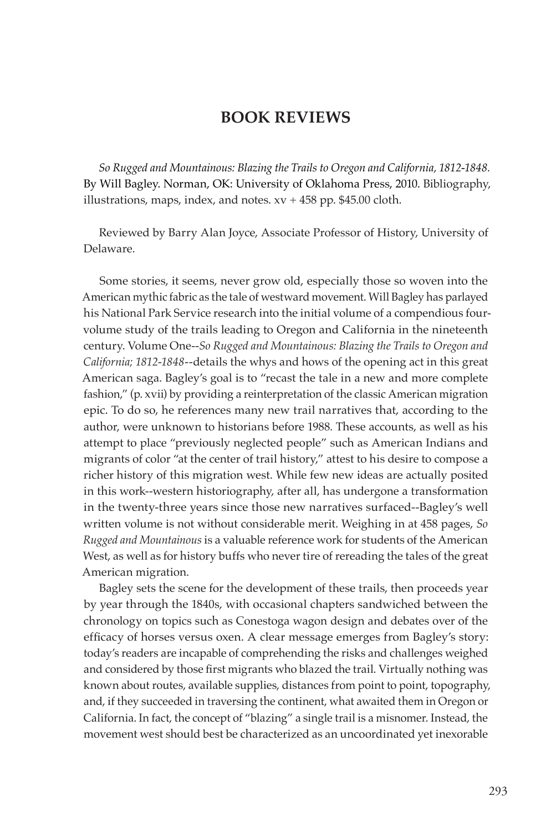# **BOOK REVIEWS**

*So Rugged and Mountainous: Blazing the Trails to Oregon and California, 1812-1848.*  By Will Bagley. Norman, OK: University of Oklahoma Press, 2010. Bibliography, illustrations, maps, index, and notes.  $xy + 458$  pp. \$45.00 cloth.

Reviewed by Barry Alan Joyce, Associate Professor of History, University of Delaware.

Some stories, it seems, never grow old, especially those so woven into the American mythic fabric as the tale of westward movement. Will Bagley has parlayed his National Park Service research into the initial volume of a compendious fourvolume study of the trails leading to Oregon and California in the nineteenth century. Volume One--*So Rugged and Mountainous: Blazing the Trails to Oregon and California; 1812-1848--*details the whys and hows of the opening act in this great American saga. Bagley's goal is to "recast the tale in a new and more complete fashion," (p. xvii) by providing a reinterpretation of the classic American migration epic. To do so, he references many new trail narratives that, according to the author, were unknown to historians before 1988. These accounts, as well as his attempt to place "previously neglected people" such as American Indians and migrants of color "at the center of trail history," attest to his desire to compose a richer history of this migration west. While few new ideas are actually posited in this work--western historiography, after all, has undergone a transformation in the twenty-three years since those new narratives surfaced--Bagley's well written volume is not without considerable merit. Weighing in at 458 pages, *So Rugged and Mountainous* is a valuable reference work for students of the American West, as well as for history buffs who never tire of rereading the tales of the great American migration.

Bagley sets the scene for the development of these trails, then proceeds year by year through the 1840s, with occasional chapters sandwiched between the chronology on topics such as Conestoga wagon design and debates over of the efficacy of horses versus oxen. A clear message emerges from Bagley's story: today's readers are incapable of comprehending the risks and challenges weighed and considered by those first migrants who blazed the trail. Virtually nothing was known about routes, available supplies, distances from point to point, topography, and, if they succeeded in traversing the continent, what awaited them in Oregon or California. In fact, the concept of "blazing" a single trail is a misnomer. Instead, the movement west should best be characterized as an uncoordinated yet inexorable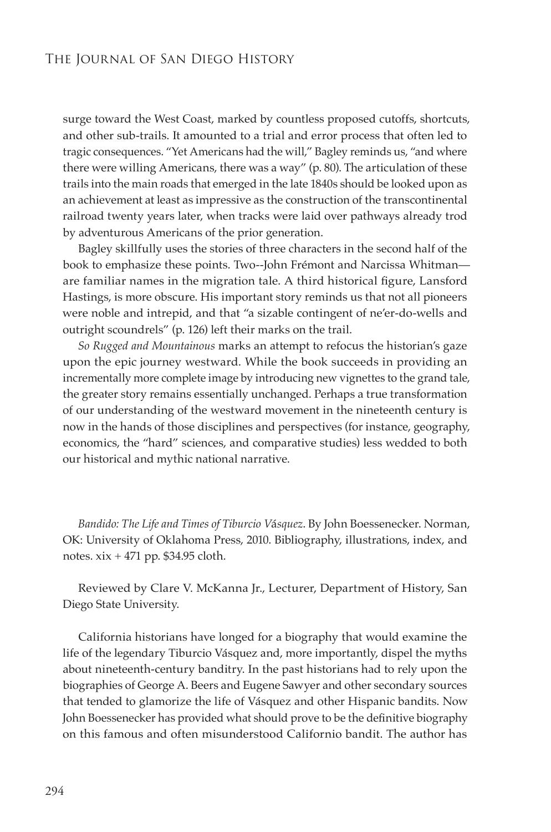surge toward the West Coast, marked by countless proposed cutoffs, shortcuts, and other sub-trails. It amounted to a trial and error process that often led to tragic consequences. "Yet Americans had the will," Bagley reminds us, "and where there were willing Americans, there was a way" (p. 80). The articulation of these trails into the main roads that emerged in the late 1840s should be looked upon as an achievement at least as impressive as the construction of the transcontinental railroad twenty years later, when tracks were laid over pathways already trod by adventurous Americans of the prior generation.

Bagley skillfully uses the stories of three characters in the second half of the book to emphasize these points. Two--John Frémont and Narcissa Whitman are familiar names in the migration tale. A third historical figure, Lansford Hastings, is more obscure. His important story reminds us that not all pioneers were noble and intrepid, and that "a sizable contingent of ne'er-do-wells and outright scoundrels" (p. 126) left their marks on the trail.

*So Rugged and Mountainous* marks an attempt to refocus the historian's gaze upon the epic journey westward. While the book succeeds in providing an incrementally more complete image by introducing new vignettes to the grand tale, the greater story remains essentially unchanged. Perhaps a true transformation of our understanding of the westward movement in the nineteenth century is now in the hands of those disciplines and perspectives (for instance, geography, economics, the "hard" sciences, and comparative studies) less wedded to both our historical and mythic national narrative.

*Bandido: The Life and Times of Tiburcio V*á*squez*. By John Boessenecker. Norman, OK: University of Oklahoma Press, 2010. Bibliography, illustrations, index, and notes. xix + 471 pp. \$34.95 cloth.

Reviewed by Clare V. McKanna Jr., Lecturer, Department of History, San Diego State University.

California historians have longed for a biography that would examine the life of the legendary Tiburcio Vásquez and, more importantly, dispel the myths about nineteenth-century banditry. In the past historians had to rely upon the biographies of George A. Beers and Eugene Sawyer and other secondary sources that tended to glamorize the life of Vásquez and other Hispanic bandits. Now John Boessenecker has provided what should prove to be the definitive biography on this famous and often misunderstood Californio bandit. The author has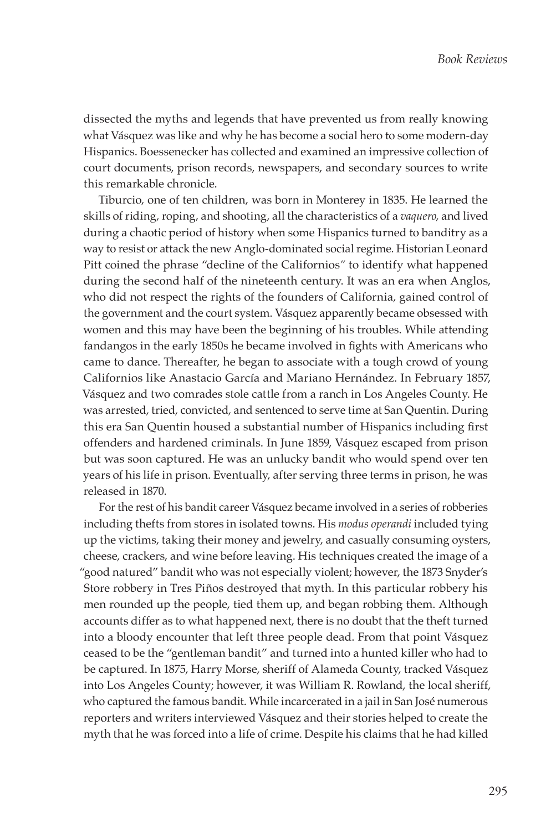dissected the myths and legends that have prevented us from really knowing what Vásquez was like and why he has become a social hero to some modern-day Hispanics. Boessenecker has collected and examined an impressive collection of court documents, prison records, newspapers, and secondary sources to write this remarkable chronicle.

Tiburcio, one of ten children, was born in Monterey in 1835. He learned the skills of riding, roping, and shooting, all the characteristics of a *vaquero*, and lived during a chaotic period of history when some Hispanics turned to banditry as a way to resist or attack the new Anglo-dominated social regime. Historian Leonard Pitt coined the phrase "decline of the Californios*"* to identify what happened during the second half of the nineteenth century. It was an era when Anglos, who did not respect the rights of the founders of California, gained control of the government and the court system. Vásquez apparently became obsessed with women and this may have been the beginning of his troubles. While attending fandangos in the early 1850s he became involved in fights with Americans who came to dance. Thereafter, he began to associate with a tough crowd of young Californios like Anastacio García and Mariano Hernández. In February 1857, Vásquez and two comrades stole cattle from a ranch in Los Angeles County. He was arrested, tried, convicted, and sentenced to serve time at San Quentin. During this era San Quentin housed a substantial number of Hispanics including first offenders and hardened criminals. In June 1859, Vásquez escaped from prison but was soon captured. He was an unlucky bandit who would spend over ten years of his life in prison. Eventually, after serving three terms in prison, he was released in 1870.

For the rest of his bandit career Vásquez became involved in a series of robberies including thefts from stores in isolated towns. His *modus operandi* included tying up the victims, taking their money and jewelry, and casually consuming oysters, cheese, crackers, and wine before leaving. His techniques created the image of a "good natured" bandit who was not especially violent; however, the 1873 Snyder's Store robbery in Tres Piños destroyed that myth. In this particular robbery his men rounded up the people, tied them up, and began robbing them. Although accounts differ as to what happened next, there is no doubt that the theft turned into a bloody encounter that left three people dead. From that point Vásquez ceased to be the "gentleman bandit" and turned into a hunted killer who had to be captured. In 1875, Harry Morse, sheriff of Alameda County, tracked Vásquez into Los Angeles County; however, it was William R. Rowland, the local sheriff, who captured the famous bandit. While incarcerated in a jail in San José numerous reporters and writers interviewed Vásquez and their stories helped to create the myth that he was forced into a life of crime. Despite his claims that he had killed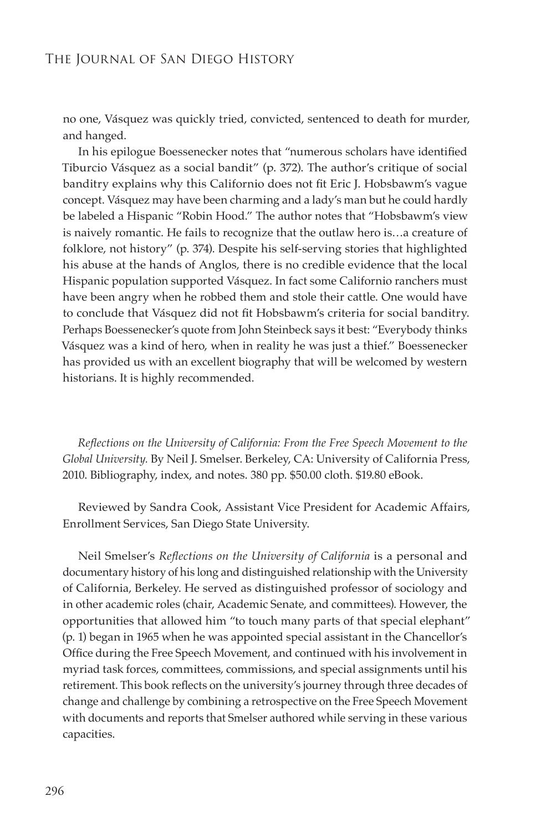no one, Vásquez was quickly tried, convicted, sentenced to death for murder, and hanged.

In his epilogue Boessenecker notes that "numerous scholars have identified Tiburcio Vásquez as a social bandit" (p. 372). The author's critique of social banditry explains why this Californio does not fit Eric J. Hobsbawm's vague concept. Vásquez may have been charming and a lady's man but he could hardly be labeled a Hispanic "Robin Hood." The author notes that "Hobsbawm's view is naively romantic. He fails to recognize that the outlaw hero is…a creature of folklore, not history" (p. 374). Despite his self-serving stories that highlighted his abuse at the hands of Anglos, there is no credible evidence that the local Hispanic population supported Vásquez. In fact some Californio ranchers must have been angry when he robbed them and stole their cattle. One would have to conclude that Vásquez did not fit Hobsbawm's criteria for social banditry. Perhaps Boessenecker's quote from John Steinbeck says it best: "Everybody thinks Vásquez was a kind of hero, when in reality he was just a thief." Boessenecker has provided us with an excellent biography that will be welcomed by western historians. It is highly recommended.

*Reflections on the University of California: From the Free Speech Movement to the Global University.* By Neil J. Smelser. Berkeley, CA: University of California Press, 2010. Bibliography, index, and notes. 380 pp. \$50.00 cloth. \$19.80 eBook.

Reviewed by Sandra Cook, Assistant Vice President for Academic Affairs, Enrollment Services, San Diego State University.

Neil Smelser's *Reflections on the University of California* is a personal and documentary history of his long and distinguished relationship with the University of California, Berkeley. He served as distinguished professor of sociology and in other academic roles (chair, Academic Senate, and committees). However, the opportunities that allowed him "to touch many parts of that special elephant" (p. 1) began in 1965 when he was appointed special assistant in the Chancellor's Office during the Free Speech Movement, and continued with his involvement in myriad task forces, committees, commissions, and special assignments until his retirement. This book reflects on the university's journey through three decades of change and challenge by combining a retrospective on the Free Speech Movement with documents and reports that Smelser authored while serving in these various capacities.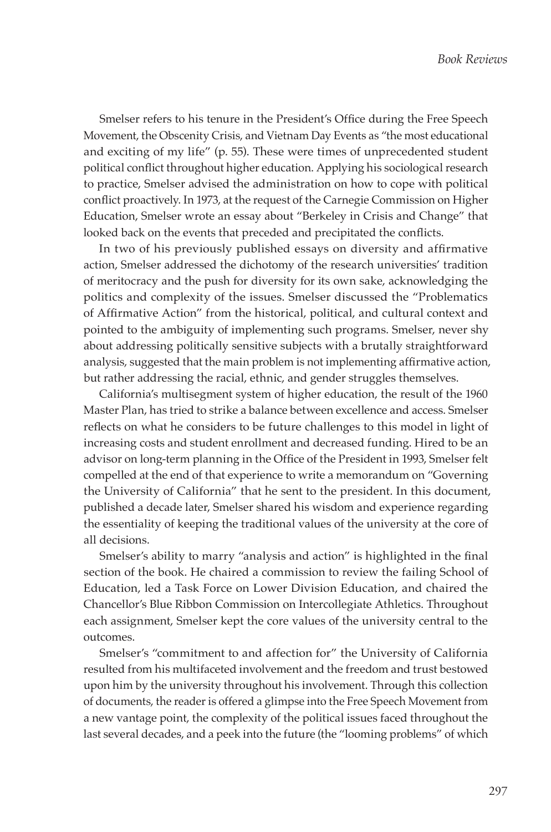Smelser refers to his tenure in the President's Office during the Free Speech Movement, the Obscenity Crisis, and Vietnam Day Events as "the most educational and exciting of my life" (p. 55). These were times of unprecedented student political conflict throughout higher education. Applying his sociological research to practice, Smelser advised the administration on how to cope with political conflict proactively. In 1973, at the request of the Carnegie Commission on Higher Education, Smelser wrote an essay about "Berkeley in Crisis and Change" that looked back on the events that preceded and precipitated the conflicts.

In two of his previously published essays on diversity and affirmative action, Smelser addressed the dichotomy of the research universities' tradition of meritocracy and the push for diversity for its own sake, acknowledging the politics and complexity of the issues. Smelser discussed the "Problematics of Affirmative Action" from the historical, political, and cultural context and pointed to the ambiguity of implementing such programs. Smelser, never shy about addressing politically sensitive subjects with a brutally straightforward analysis, suggested that the main problem is not implementing affirmative action, but rather addressing the racial, ethnic, and gender struggles themselves.

California's multisegment system of higher education, the result of the 1960 Master Plan, has tried to strike a balance between excellence and access. Smelser reflects on what he considers to be future challenges to this model in light of increasing costs and student enrollment and decreased funding. Hired to be an advisor on long-term planning in the Office of the President in 1993, Smelser felt compelled at the end of that experience to write a memorandum on "Governing the University of California" that he sent to the president. In this document, published a decade later, Smelser shared his wisdom and experience regarding the essentiality of keeping the traditional values of the university at the core of all decisions.

Smelser's ability to marry "analysis and action" is highlighted in the final section of the book. He chaired a commission to review the failing School of Education, led a Task Force on Lower Division Education, and chaired the Chancellor's Blue Ribbon Commission on Intercollegiate Athletics. Throughout each assignment, Smelser kept the core values of the university central to the outcomes.

Smelser's "commitment to and affection for" the University of California resulted from his multifaceted involvement and the freedom and trust bestowed upon him by the university throughout his involvement. Through this collection of documents, the reader is offered a glimpse into the Free Speech Movement from a new vantage point, the complexity of the political issues faced throughout the last several decades, and a peek into the future (the "looming problems" of which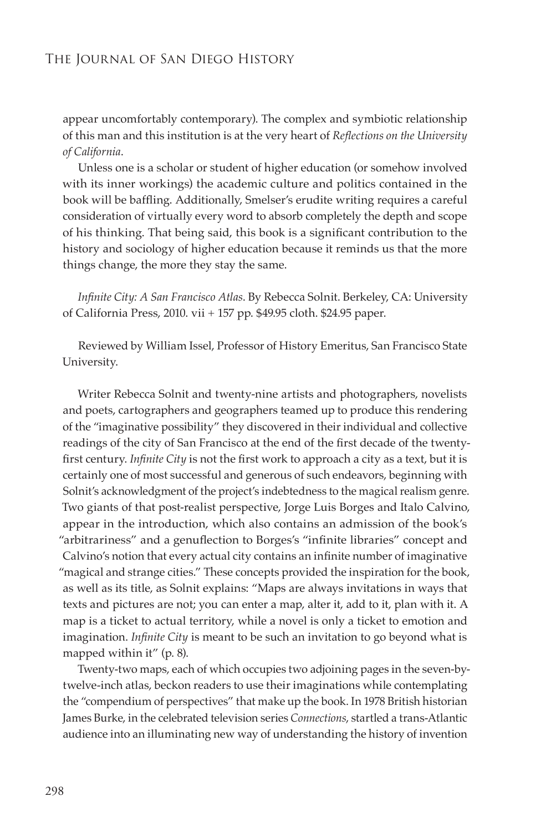appear uncomfortably contemporary). The complex and symbiotic relationship of this man and this institution is at the very heart of *Reflections on the University of California*.

Unless one is a scholar or student of higher education (or somehow involved with its inner workings) the academic culture and politics contained in the book will be baffling. Additionally, Smelser's erudite writing requires a careful consideration of virtually every word to absorb completely the depth and scope of his thinking. That being said, this book is a significant contribution to the history and sociology of higher education because it reminds us that the more things change, the more they stay the same.

*Infinite City: A San Francisco Atlas*. By Rebecca Solnit. Berkeley, CA: University of California Press, 2010. vii + 157 pp. \$49.95 cloth. \$24.95 paper.

Reviewed by William Issel, Professor of History Emeritus, San Francisco State University.

Writer Rebecca Solnit and twenty-nine artists and photographers, novelists and poets, cartographers and geographers teamed up to produce this rendering of the "imaginative possibility" they discovered in their individual and collective readings of the city of San Francisco at the end of the first decade of the twentyfirst century. *Infinite City* is not the first work to approach a city as a text, but it is certainly one of most successful and generous of such endeavors, beginning with Solnit's acknowledgment of the project's indebtedness to the magical realism genre. Two giants of that post-realist perspective, Jorge Luis Borges and Italo Calvino, appear in the introduction, which also contains an admission of the book's "arbitrariness" and a genuflection to Borges's "infinite libraries" concept and Calvino's notion that every actual city contains an infinite number of imaginative "magical and strange cities." These concepts provided the inspiration for the book, as well as its title, as Solnit explains: "Maps are always invitations in ways that texts and pictures are not; you can enter a map, alter it, add to it, plan with it. A map is a ticket to actual territory, while a novel is only a ticket to emotion and imagination. *Infinite City* is meant to be such an invitation to go beyond what is mapped within it" (p. 8).

Twenty-two maps, each of which occupies two adjoining pages in the seven-bytwelve-inch atlas, beckon readers to use their imaginations while contemplating the "compendium of perspectives" that make up the book. In 1978 British historian James Burke, in the celebrated television series *Connections*, startled a trans-Atlantic audience into an illuminating new way of understanding the history of invention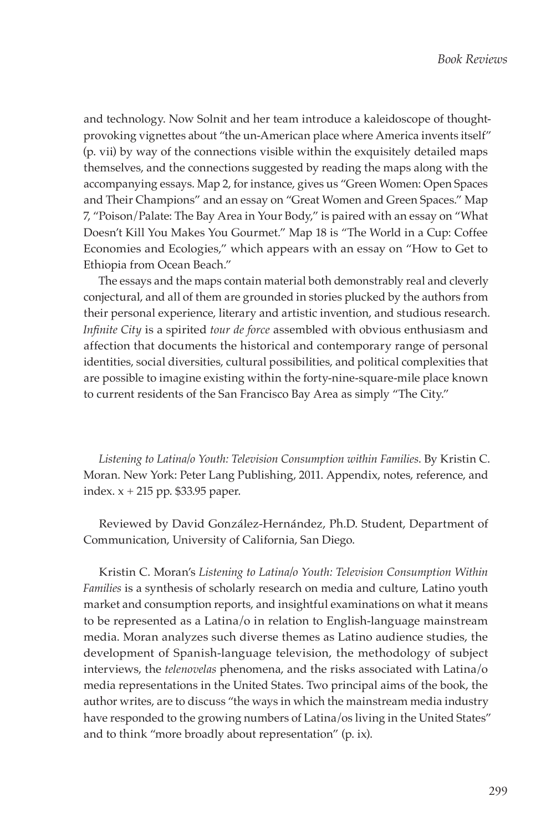and technology. Now Solnit and her team introduce a kaleidoscope of thoughtprovoking vignettes about "the un-American place where America invents itself" (p. vii) by way of the connections visible within the exquisitely detailed maps themselves, and the connections suggested by reading the maps along with the accompanying essays. Map 2, for instance, gives us "Green Women: Open Spaces and Their Champions" and an essay on "Great Women and Green Spaces." Map 7, "Poison/Palate: The Bay Area in Your Body," is paired with an essay on "What Doesn't Kill You Makes You Gourmet." Map 18 is "The World in a Cup: Coffee Economies and Ecologies," which appears with an essay on "How to Get to Ethiopia from Ocean Beach."

The essays and the maps contain material both demonstrably real and cleverly conjectural, and all of them are grounded in stories plucked by the authors from their personal experience, literary and artistic invention, and studious research. *Infinite City* is a spirited *tour de force* assembled with obvious enthusiasm and affection that documents the historical and contemporary range of personal identities, social diversities, cultural possibilities, and political complexities that are possible to imagine existing within the forty-nine-square-mile place known to current residents of the San Francisco Bay Area as simply "The City."

*Listening to Latina/o Youth: Television Consumption within Families*. By Kristin C. Moran. New York: Peter Lang Publishing, 2011. Appendix, notes, reference, and index. x + 215 pp. \$33.95 paper.

Reviewed by David González-Hernández, Ph.D. Student, Department of Communication, University of California, San Diego.

Kristin C. Moran's *Listening to Latina/o Youth: Television Consumption Within Families* is a synthesis of scholarly research on media and culture, Latino youth market and consumption reports, and insightful examinations on what it means to be represented as a Latina/o in relation to English-language mainstream media. Moran analyzes such diverse themes as Latino audience studies, the development of Spanish-language television, the methodology of subject interviews, the *telenovelas* phenomena, and the risks associated with Latina/o media representations in the United States. Two principal aims of the book, the author writes, are to discuss "the ways in which the mainstream media industry have responded to the growing numbers of Latina/os living in the United States" and to think "more broadly about representation" (p. ix).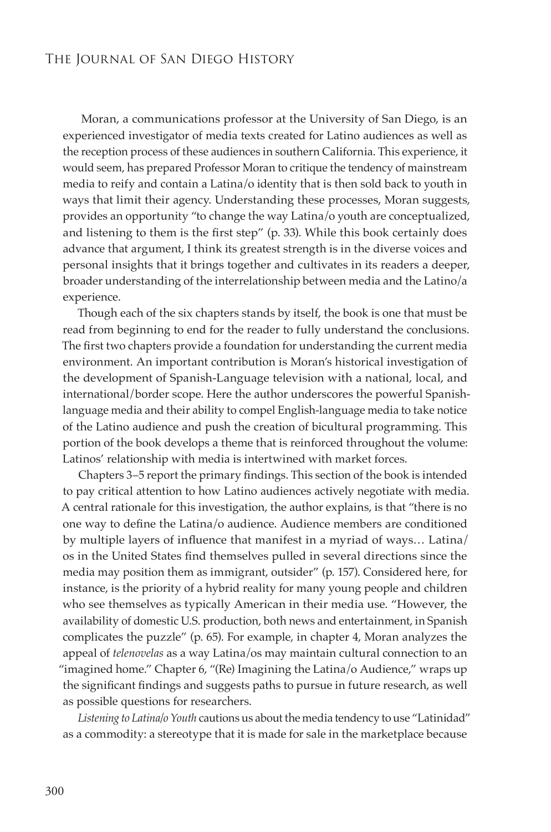Moran, a communications professor at the University of San Diego, is an experienced investigator of media texts created for Latino audiences as well as the reception process of these audiences in southern California. This experience, it would seem, has prepared Professor Moran to critique the tendency of mainstream media to reify and contain a Latina/o identity that is then sold back to youth in ways that limit their agency. Understanding these processes, Moran suggests, provides an opportunity "to change the way Latina/o youth are conceptualized, and listening to them is the first step" (p. 33). While this book certainly does advance that argument, I think its greatest strength is in the diverse voices and personal insights that it brings together and cultivates in its readers a deeper, broader understanding of the interrelationship between media and the Latino/a experience.

Though each of the six chapters stands by itself, the book is one that must be read from beginning to end for the reader to fully understand the conclusions. The first two chapters provide a foundation for understanding the current media environment. An important contribution is Moran's historical investigation of the development of Spanish-Language television with a national, local, and international/border scope. Here the author underscores the powerful Spanishlanguage media and their ability to compel English-language media to take notice of the Latino audience and push the creation of bicultural programming. This portion of the book develops a theme that is reinforced throughout the volume: Latinos' relationship with media is intertwined with market forces.

Chapters 3–5 report the primary findings. This section of the book is intended to pay critical attention to how Latino audiences actively negotiate with media. A central rationale for this investigation, the author explains, is that "there is no one way to define the Latina/o audience. Audience members are conditioned by multiple layers of influence that manifest in a myriad of ways… Latina/ os in the United States find themselves pulled in several directions since the media may position them as immigrant, outsider" (p. 157). Considered here, for instance, is the priority of a hybrid reality for many young people and children who see themselves as typically American in their media use. "However, the availability of domestic U.S. production, both news and entertainment, in Spanish complicates the puzzle" (p. 65). For example, in chapter 4, Moran analyzes the appeal of *telenovelas* as a way Latina/os may maintain cultural connection to an "imagined home." Chapter 6, "(Re) Imagining the Latina/o Audience," wraps up the significant findings and suggests paths to pursue in future research, as well as possible questions for researchers.

*Listening to Latina/o Youth* cautions us about the media tendency to use "Latinidad" as a commodity: a stereotype that it is made for sale in the marketplace because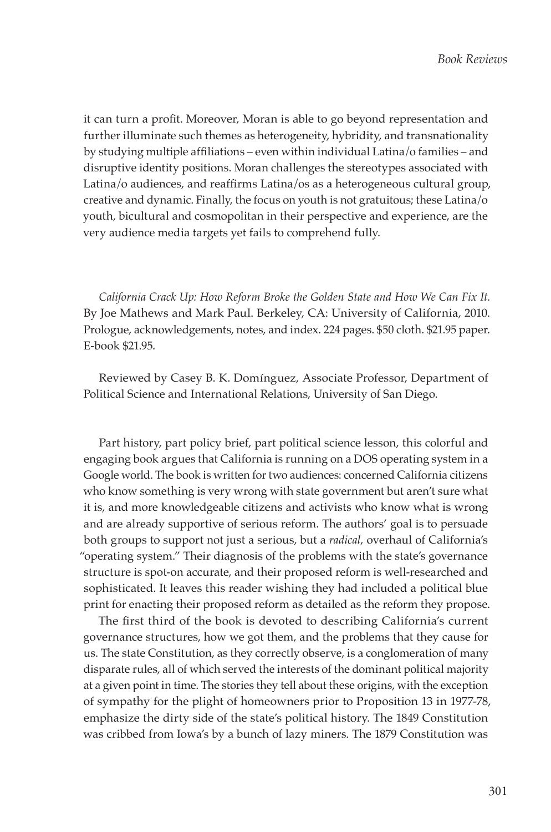it can turn a profit. Moreover, Moran is able to go beyond representation and further illuminate such themes as heterogeneity, hybridity, and transnationality by studying multiple affiliations – even within individual Latina/o families – and disruptive identity positions. Moran challenges the stereotypes associated with Latina/o audiences, and reaffirms Latina/os as a heterogeneous cultural group, creative and dynamic. Finally, the focus on youth is not gratuitous; these Latina/o youth, bicultural and cosmopolitan in their perspective and experience, are the very audience media targets yet fails to comprehend fully.

California Crack Up: How Reform Broke the Golden State and How We Can Fix It. By Joe Mathews and Mark Paul. Berkeley, CA: University of California, 2010. Prologue, acknowledgements, notes, and index. 224 pages. \$50 cloth. \$21.95 paper. E-book \$21.95.

Reviewed by Casey B. K. Domínguez, Associate Professor, Department of Political Science and International Relations, University of San Diego.

Part history, part policy brief, part political science lesson, this colorful and engaging book argues that California is running on a DOS operating system in a Google world. The book is written for two audiences: concerned California citizens who know something is very wrong with state government but aren't sure what it is, and more knowledgeable citizens and activists who know what is wrong and are already supportive of serious reform. The authors' goal is to persuade both groups to support not just a serious, but a *radical*, overhaul of California's "operating system." Their diagnosis of the problems with the state's governance structure is spot-on accurate, and their proposed reform is well-researched and sophisticated. It leaves this reader wishing they had included a political blue print for enacting their proposed reform as detailed as the reform they propose.

The first third of the book is devoted to describing California's current governance structures, how we got them, and the problems that they cause for us. The state Constitution, as they correctly observe, is a conglomeration of many disparate rules, all of which served the interests of the dominant political majority at a given point in time. The stories they tell about these origins, with the exception of sympathy for the plight of homeowners prior to Proposition 13 in 1977-78, emphasize the dirty side of the state's political history. The 1849 Constitution was cribbed from Iowa's by a bunch of lazy miners. The 1879 Constitution was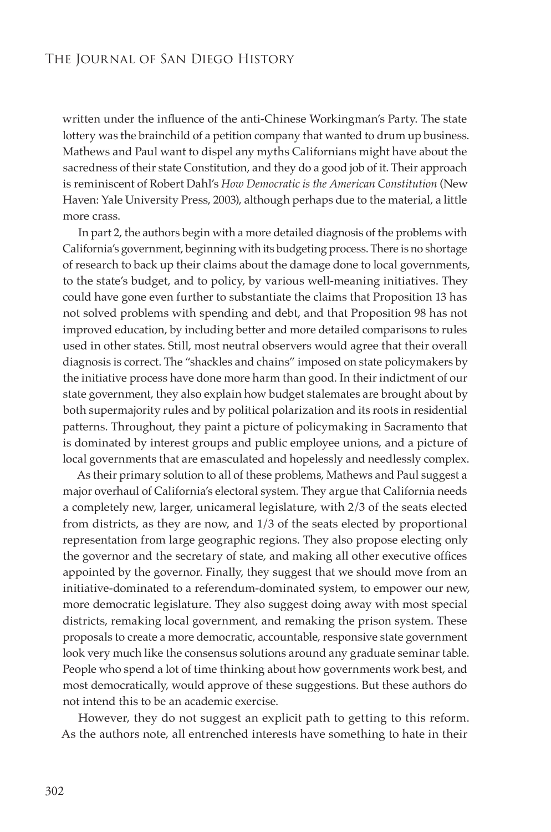written under the influence of the anti-Chinese Workingman's Party. The state lottery was the brainchild of a petition company that wanted to drum up business. Mathews and Paul want to dispel any myths Californians might have about the sacredness of their state Constitution, and they do a good job of it. Their approach is reminiscent of Robert Dahl's *How Democratic is the American Constitution* (New Haven: Yale University Press, 2003), although perhaps due to the material, a little more crass.

In part 2, the authors begin with a more detailed diagnosis of the problems with California's government, beginning with its budgeting process. There is no shortage of research to back up their claims about the damage done to local governments, to the state's budget, and to policy, by various well-meaning initiatives. They could have gone even further to substantiate the claims that Proposition 13 has not solved problems with spending and debt, and that Proposition 98 has not improved education, by including better and more detailed comparisons to rules used in other states. Still, most neutral observers would agree that their overall diagnosis is correct. The "shackles and chains" imposed on state policymakers by the initiative process have done more harm than good. In their indictment of our state government, they also explain how budget stalemates are brought about by both supermajority rules and by political polarization and its roots in residential patterns. Throughout, they paint a picture of policymaking in Sacramento that is dominated by interest groups and public employee unions, and a picture of local governments that are emasculated and hopelessly and needlessly complex.

As their primary solution to all of these problems, Mathews and Paul suggest a major overhaul of California's electoral system. They argue that California needs a completely new, larger, unicameral legislature, with 2/3 of the seats elected from districts, as they are now, and 1/3 of the seats elected by proportional representation from large geographic regions. They also propose electing only the governor and the secretary of state, and making all other executive offices appointed by the governor. Finally, they suggest that we should move from an initiative-dominated to a referendum-dominated system, to empower our new, more democratic legislature. They also suggest doing away with most special districts, remaking local government, and remaking the prison system. These proposals to create a more democratic, accountable, responsive state government look very much like the consensus solutions around any graduate seminar table. People who spend a lot of time thinking about how governments work best, and most democratically, would approve of these suggestions. But these authors do not intend this to be an academic exercise.

However, they do not suggest an explicit path to getting to this reform. As the authors note, all entrenched interests have something to hate in their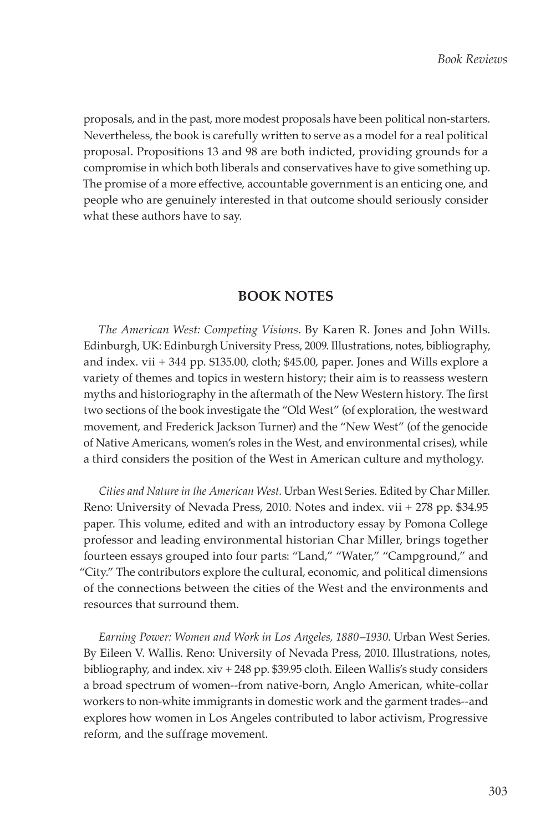proposals, and in the past, more modest proposals have been political non-starters. Nevertheless, the book is carefully written to serve as a model for a real political proposal. Propositions 13 and 98 are both indicted, providing grounds for a compromise in which both liberals and conservatives have to give something up. The promise of a more effective, accountable government is an enticing one, and people who are genuinely interested in that outcome should seriously consider what these authors have to say.

## **BOOK NOTES**

*The American West: Competing Visions*. By Karen R. Jones and John Wills. Edinburgh, UK: Edinburgh University Press, 2009. Illustrations, notes, bibliography, and index. vii + 344 pp. \$135.00, cloth; \$45.00, paper. Jones and Wills explore a variety of themes and topics in western history; their aim is to reassess western myths and historiography in the aftermath of the New Western history. The first two sections of the book investigate the "Old West" (of exploration, the westward movement, and Frederick Jackson Turner) and the "New West" (of the genocide of Native Americans, women's roles in the West, and environmental crises), while a third considers the position of the West in American culture and mythology.

*Cities and Nature in the American West*. Urban West Series. Edited by Char Miller. Reno: University of Nevada Press, 2010. Notes and index. vii + 278 pp. \$34.95 paper. This volume, edited and with an introductory essay by Pomona College professor and leading environmental historian Char Miller, brings together fourteen essays grouped into four parts: "Land," "Water," "Campground," and "City." The contributors explore the cultural, economic, and political dimensions of the connections between the cities of the West and the environments and resources that surround them.

*Earning Power: Women and Work in Los Angeles, 1880–1930*. Urban West Series. By Eileen V. Wallis. Reno: University of Nevada Press, 2010. Illustrations, notes, bibliography, and index. xiv + 248 pp. \$39.95 cloth. Eileen Wallis's study considers a broad spectrum of women--from native-born, Anglo American, white-collar workers to non-white immigrants in domestic work and the garment trades--and explores how women in Los Angeles contributed to labor activism, Progressive reform, and the suffrage movement.